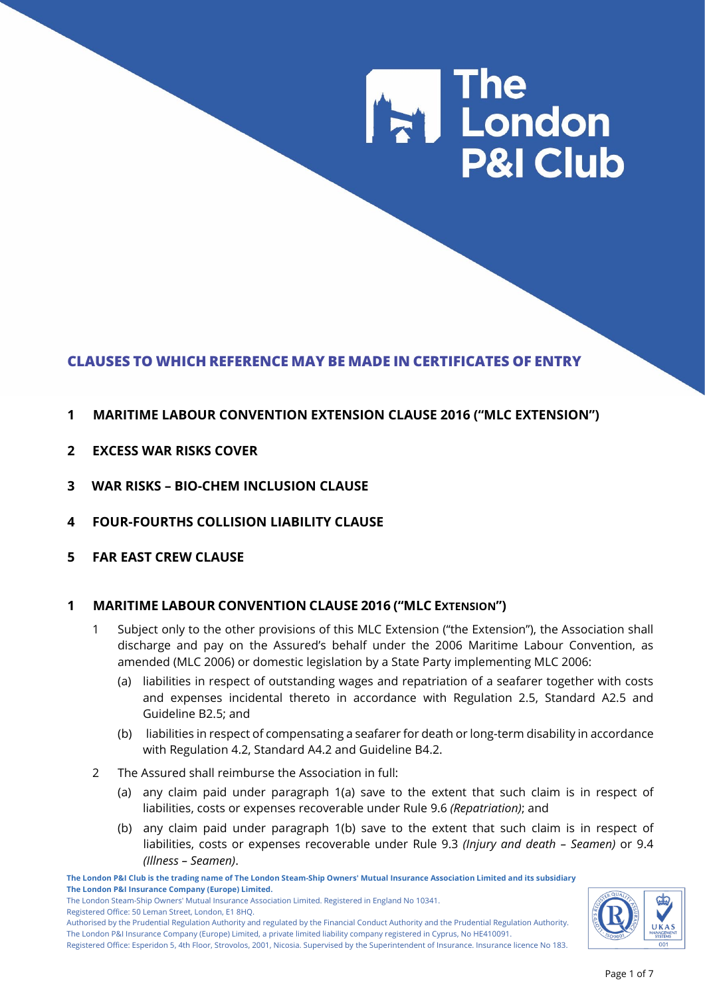# **The London P&I Club**

# **CLAUSES TO WHICH REFERENCE MAY BE MADE IN CERTIFICATES OF ENTRY**

## **1 MARITIME LABOUR CONVENTION EXTENSION CLAUSE 2016 ("MLC EXTENSION")**

- **2 EXCESS WAR RISKS COVER**
- **3 WAR RISKS – BIO-CHEM INCLUSION CLAUSE**
- **4 FOUR-FOURTHS COLLISION LIABILITY CLAUSE**
- **5 FAR EAST CREW CLAUSE**

## **1 MARITIME LABOUR CONVENTION CLAUSE 2016 ("MLC EXTENSION")**

- 1 Subject only to the other provisions of this MLC Extension ("the Extension"), the Association shall discharge and pay on the Assured's behalf under the 2006 Maritime Labour Convention, as amended (MLC 2006) or domestic legislation by a State Party implementing MLC 2006:
	- (a) liabilities in respect of outstanding wages and repatriation of a seafarer together with costs and expenses incidental thereto in accordance with Regulation 2.5, Standard A2.5 and Guideline B2.5; and
	- (b) liabilities in respect of compensating a seafarer for death or long-term disability in accordance with Regulation 4.2, Standard A4.2 and Guideline B4.2.
- 2 The Assured shall reimburse the Association in full:
	- (a) any claim paid under paragraph 1(a) save to the extent that such claim is in respect of liabilities, costs or expenses recoverable under Rule 9.6 *(Repatriation)*; and
	- (b) any claim paid under paragraph 1(b) save to the extent that such claim is in respect of liabilities, costs or expenses recoverable under Rule 9.3 *(Injury and death – Seamen)* or 9.4 *(Illness – Seamen)*.

**The London P&I Club is the trading name of The London Steam-Ship Owners' Mutual Insurance Association Limited and its subsidiary The London P&I Insurance Company (Europe) Limited.**

The London Steam-Ship Owners' Mutual Insurance Association Limited. Registered in England No 10341. Registered Office: 50 Leman Street, London, E1 8HQ.

Authorised by the Prudential Regulation Authority and regulated by the Financial Conduct Authority and the Prudential Regulation Authority. The London P&I Insurance Company (Europe) Limited, a private limited liability company registered in Cyprus, No HE410091. Registered Office: Esperidon 5, 4th Floor, Strovolos, 2001, Nicosia. Supervised by the Superintendent of Insurance. Insurance licence No 183.

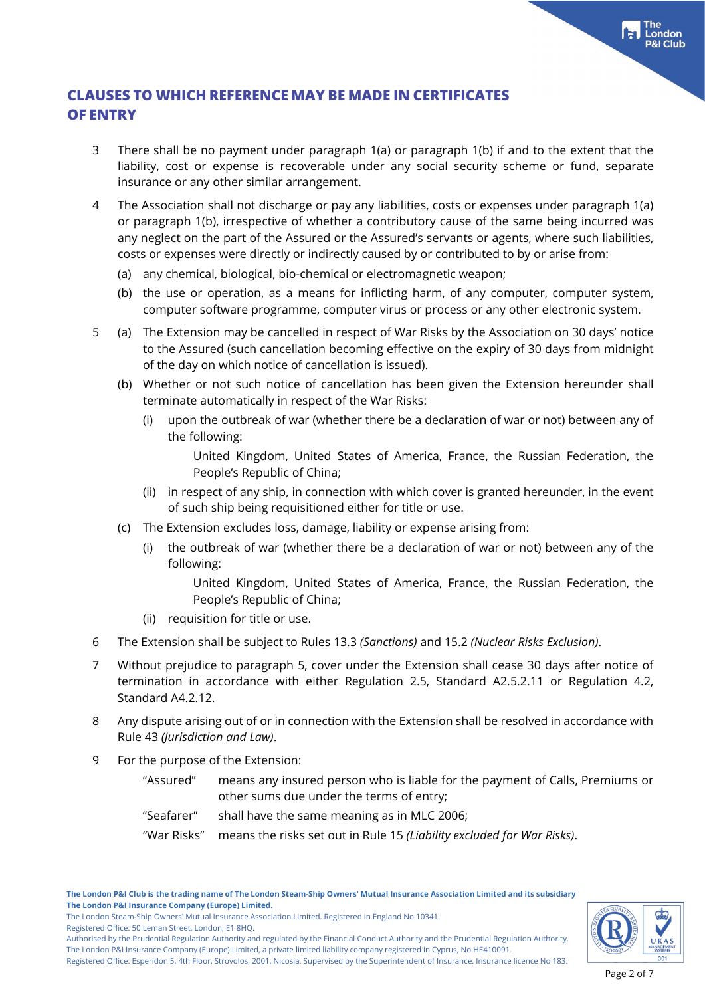- 3 There shall be no payment under paragraph 1(a) or paragraph 1(b) if and to the extent that the liability, cost or expense is recoverable under any social security scheme or fund, separate insurance or any other similar arrangement.
- 4 The Association shall not discharge or pay any liabilities, costs or expenses under paragraph 1(a) or paragraph 1(b), irrespective of whether a contributory cause of the same being incurred was any neglect on the part of the Assured or the Assured's servants or agents, where such liabilities, costs or expenses were directly or indirectly caused by or contributed to by or arise from:
	- (a) any chemical, biological, bio-chemical or electromagnetic weapon;
	- (b) the use or operation, as a means for inflicting harm, of any computer, computer system, computer software programme, computer virus or process or any other electronic system.
- 5 (a) The Extension may be cancelled in respect of War Risks by the Association on 30 days' notice to the Assured (such cancellation becoming effective on the expiry of 30 days from midnight of the day on which notice of cancellation is issued).
	- (b) Whether or not such notice of cancellation has been given the Extension hereunder shall terminate automatically in respect of the War Risks:
		- (i) upon the outbreak of war (whether there be a declaration of war or not) between any of the following:

United Kingdom, United States of America, France, the Russian Federation, the People's Republic of China;

- (ii) in respect of any ship, in connection with which cover is granted hereunder, in the event of such ship being requisitioned either for title or use.
- (c) The Extension excludes loss, damage, liability or expense arising from:
	- (i) the outbreak of war (whether there be a declaration of war or not) between any of the following:

United Kingdom, United States of America, France, the Russian Federation, the People's Republic of China;

- (ii) requisition for title or use.
- 6 The Extension shall be subject to Rules 13.3 *(Sanctions)* and 15.2 *(Nuclear Risks Exclusion)*.
- 7 Without prejudice to paragraph 5, cover under the Extension shall cease 30 days after notice of termination in accordance with either Regulation 2.5, Standard A2.5.2.11 or Regulation 4.2, Standard A4.2.12.
- 8 Any dispute arising out of or in connection with the Extension shall be resolved in accordance with Rule 43 *(Jurisdiction and Law)*.
- 9 For the purpose of the Extension:
	- "Assured" means any insured person who is liable for the payment of Calls, Premiums or other sums due under the terms of entry;
	- "Seafarer" shall have the same meaning as in MLC 2006;
	- "War Risks" means the risks set out in Rule 15 *(Liability excluded for War Risks)*.



The London Steam-Ship Owners' Mutual Insurance Association Limited. Registered in England No 10341. Registered Office: 50 Leman Street, London, E1 8HQ.

Authorised by the Prudential Regulation Authority and regulated by the Financial Conduct Authority and the Prudential Regulation Authority. The London P&I Insurance Company (Europe) Limited, a private limited liability company registered in Cyprus, No HE410091.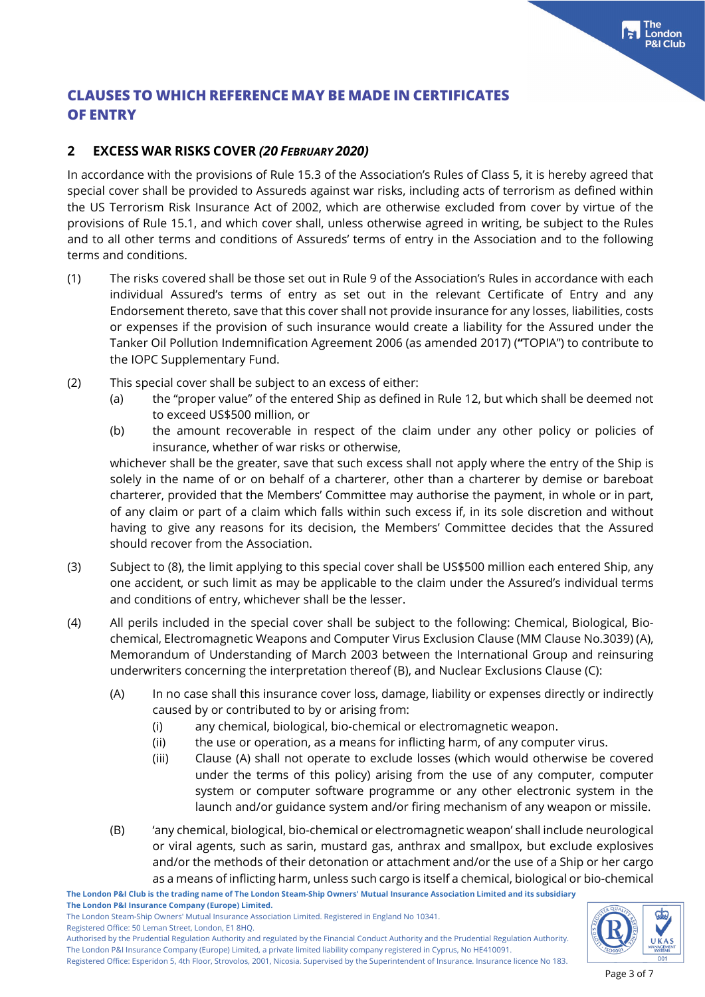## **2 EXCESS WAR RISKS COVER** *(20 FEBRUARY 2020)*

In accordance with the provisions of Rule 15.3 of the Association's Rules of Class 5, it is hereby agreed that special cover shall be provided to Assureds against war risks, including acts of terrorism as defined within the US Terrorism Risk Insurance Act of 2002, which are otherwise excluded from cover by virtue of the provisions of Rule 15.1, and which cover shall, unless otherwise agreed in writing, be subject to the Rules and to all other terms and conditions of Assureds' terms of entry in the Association and to the following terms and conditions.

- (1) The risks covered shall be those set out in Rule 9 of the Association's Rules in accordance with each individual Assured's terms of entry as set out in the relevant Certificate of Entry and any Endorsement thereto, save that this cover shall not provide insurance for any losses, liabilities, costs or expenses if the provision of such insurance would create a liability for the Assured under the Tanker Oil Pollution Indemnification Agreement 2006 (as amended 2017) (**"**TOPIA") to contribute to the IOPC Supplementary Fund.
- (2) This special cover shall be subject to an excess of either:
	- (a) the "proper value" of the entered Ship as defined in Rule 12, but which shall be deemed not to exceed US\$500 million, or
	- (b) the amount recoverable in respect of the claim under any other policy or policies of insurance, whether of war risks or otherwise,

whichever shall be the greater, save that such excess shall not apply where the entry of the Ship is solely in the name of or on behalf of a charterer, other than a charterer by demise or bareboat charterer, provided that the Members' Committee may authorise the payment, in whole or in part, of any claim or part of a claim which falls within such excess if, in its sole discretion and without having to give any reasons for its decision, the Members' Committee decides that the Assured should recover from the Association.

- (3) Subject to (8), the limit applying to this special cover shall be US\$500 million each entered Ship, any one accident, or such limit as may be applicable to the claim under the Assured's individual terms and conditions of entry, whichever shall be the lesser.
- (4) All perils included in the special cover shall be subject to the following: Chemical, Biological, Biochemical, Electromagnetic Weapons and Computer Virus Exclusion Clause (MM Clause No.3039) (A), Memorandum of Understanding of March 2003 between the International Group and reinsuring underwriters concerning the interpretation thereof (B), and Nuclear Exclusions Clause (C):
	- (A) In no case shall this insurance cover loss, damage, liability or expenses directly or indirectly caused by or contributed to by or arising from:
		- (i) any chemical, biological, bio-chemical or electromagnetic weapon.
		- (ii) the use or operation, as a means for inflicting harm, of any computer virus.
		- (iii) Clause (A) shall not operate to exclude losses (which would otherwise be covered under the terms of this policy) arising from the use of any computer, computer system or computer software programme or any other electronic system in the launch and/or guidance system and/or firing mechanism of any weapon or missile.
	- (B) 'any chemical, biological, bio-chemical or electromagnetic weapon' shall include neurological or viral agents, such as sarin, mustard gas, anthrax and smallpox, but exclude explosives and/or the methods of their detonation or attachment and/or the use of a Ship or her cargo as a means of inflicting harm, unless such cargo is itself a chemical, biological or bio-chemical

**The London P&I Club is the trading name of The London Steam-Ship Owners' Mutual Insurance Association Limited and its subsidiary The London P&I Insurance Company (Europe) Limited.**

The London Steam-Ship Owners' Mutual Insurance Association Limited. Registered in England No 10341.

Registered Office: 50 Leman Street, London, E1 8HQ.

Authorised by the Prudential Regulation Authority and regulated by the Financial Conduct Authority and the Prudential Regulation Authority. The London P&I Insurance Company (Europe) Limited, a private limited liability company registered in Cyprus, No HE410091.

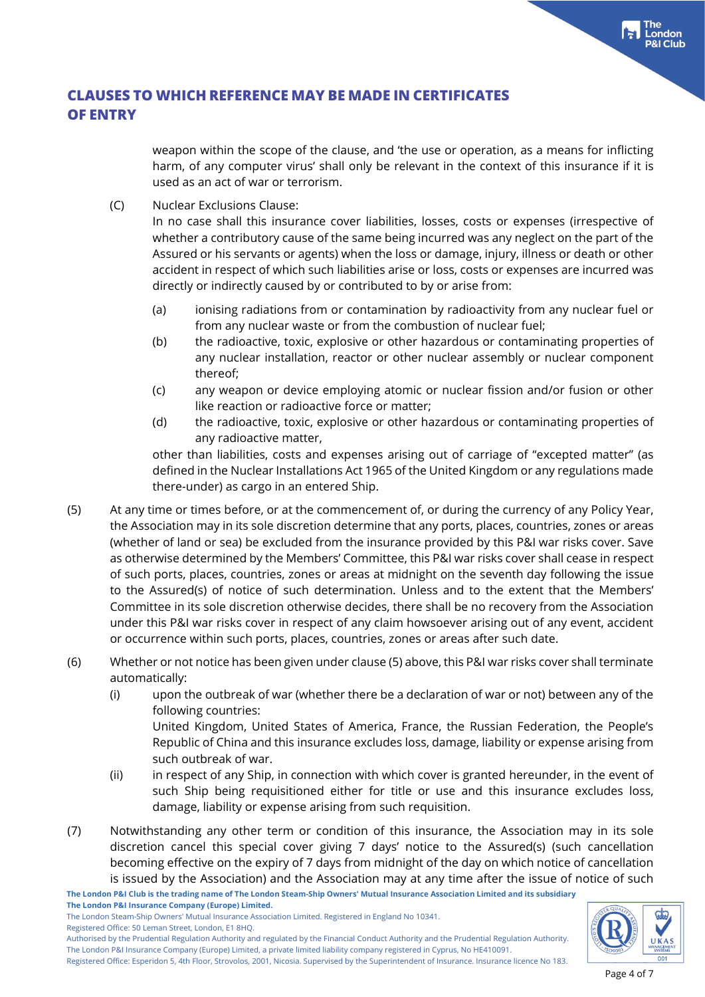weapon within the scope of the clause, and 'the use or operation, as a means for inflicting harm, of any computer virus' shall only be relevant in the context of this insurance if it is used as an act of war or terrorism.

(C) Nuclear Exclusions Clause:

In no case shall this insurance cover liabilities, losses, costs or expenses (irrespective of whether a contributory cause of the same being incurred was any neglect on the part of the Assured or his servants or agents) when the loss or damage, injury, illness or death or other accident in respect of which such liabilities arise or loss, costs or expenses are incurred was directly or indirectly caused by or contributed to by or arise from:

- (a) ionising radiations from or contamination by radioactivity from any nuclear fuel or from any nuclear waste or from the combustion of nuclear fuel;
- (b) the radioactive, toxic, explosive or other hazardous or contaminating properties of any nuclear installation, reactor or other nuclear assembly or nuclear component thereof;
- (c) any weapon or device employing atomic or nuclear fission and/or fusion or other like reaction or radioactive force or matter;
- (d) the radioactive, toxic, explosive or other hazardous or contaminating properties of any radioactive matter,

other than liabilities, costs and expenses arising out of carriage of "excepted matter" (as defined in the Nuclear Installations Act 1965 of the United Kingdom or any regulations made there-under) as cargo in an entered Ship.

- (5) At any time or times before, or at the commencement of, or during the currency of any Policy Year, the Association may in its sole discretion determine that any ports, places, countries, zones or areas (whether of land or sea) be excluded from the insurance provided by this P&I war risks cover. Save as otherwise determined by the Members' Committee, this P&I war risks cover shall cease in respect of such ports, places, countries, zones or areas at midnight on the seventh day following the issue to the Assured(s) of notice of such determination. Unless and to the extent that the Members' Committee in its sole discretion otherwise decides, there shall be no recovery from the Association under this P&I war risks cover in respect of any claim howsoever arising out of any event, accident or occurrence within such ports, places, countries, zones or areas after such date.
- (6) Whether or not notice has been given under clause (5) above, this P&I war risks cover shall terminate automatically:
	- (i) upon the outbreak of war (whether there be a declaration of war or not) between any of the following countries:

United Kingdom, United States of America, France, the Russian Federation, the People's Republic of China and this insurance excludes loss, damage, liability or expense arising from such outbreak of war.

- (ii) in respect of any Ship, in connection with which cover is granted hereunder, in the event of such Ship being requisitioned either for title or use and this insurance excludes loss, damage, liability or expense arising from such requisition.
- (7) Notwithstanding any other term or condition of this insurance, the Association may in its sole discretion cancel this special cover giving 7 days' notice to the Assured(s) (such cancellation becoming effective on the expiry of 7 days from midnight of the day on which notice of cancellation is issued by the Association) and the Association may at any time after the issue of notice of such

**The London P&I Club is the trading name of The London Steam-Ship Owners' Mutual Insurance Association Limited and its subsidiary The London P&I Insurance Company (Europe) Limited.**

The London Steam-Ship Owners' Mutual Insurance Association Limited. Registered in England No 10341.

Registered Office: 50 Leman Street, London, E1 8HQ.



Authorised by the Prudential Regulation Authority and regulated by the Financial Conduct Authority and the Prudential Regulation Authority. The London P&I Insurance Company (Europe) Limited, a private limited liability company registered in Cyprus, No HE410091.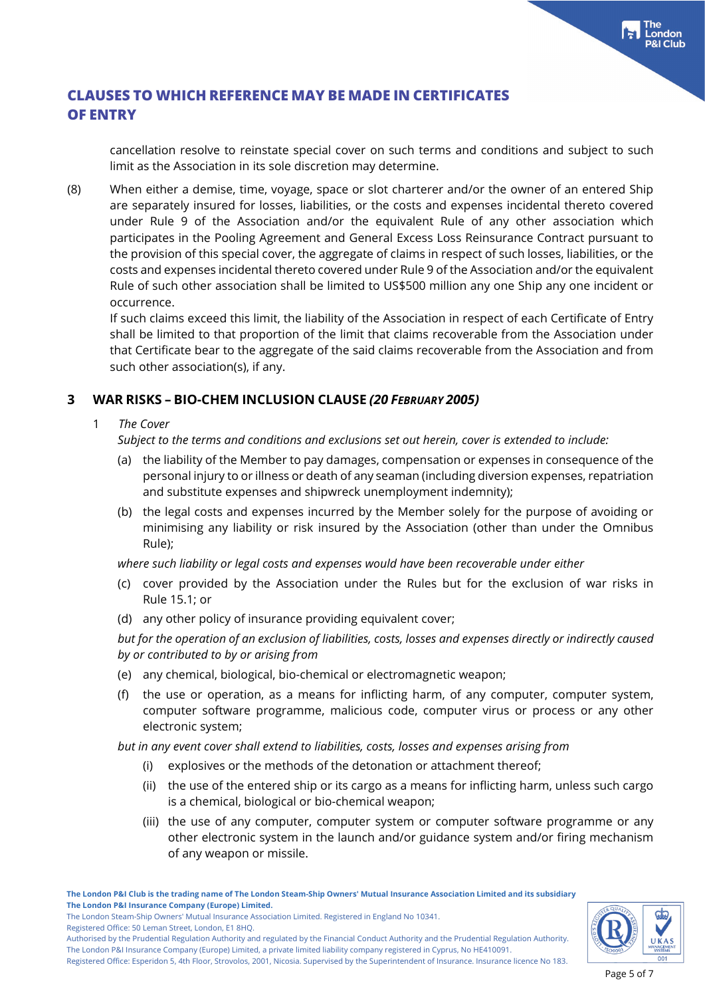cancellation resolve to reinstate special cover on such terms and conditions and subject to such limit as the Association in its sole discretion may determine.

(8) When either a demise, time, voyage, space or slot charterer and/or the owner of an entered Ship are separately insured for losses, liabilities, or the costs and expenses incidental thereto covered under Rule 9 of the Association and/or the equivalent Rule of any other association which participates in the Pooling Agreement and General Excess Loss Reinsurance Contract pursuant to the provision of this special cover, the aggregate of claims in respect of such losses, liabilities, or the costs and expenses incidental thereto covered under Rule 9 of the Association and/or the equivalent Rule of such other association shall be limited to US\$500 million any one Ship any one incident or occurrence.

If such claims exceed this limit, the liability of the Association in respect of each Certificate of Entry shall be limited to that proportion of the limit that claims recoverable from the Association under that Certificate bear to the aggregate of the said claims recoverable from the Association and from such other association(s), if any.

## **3 WAR RISKS – BIO-CHEM INCLUSION CLAUSE** *(20 FEBRUARY 2005)*

1 *The Cover*

*Subject to the terms and conditions and exclusions set out herein, cover is extended to include:*

- (a) the liability of the Member to pay damages, compensation or expenses in consequence of the personal injury to or illness or death of any seaman (including diversion expenses, repatriation and substitute expenses and shipwreck unemployment indemnity);
- (b) the legal costs and expenses incurred by the Member solely for the purpose of avoiding or minimising any liability or risk insured by the Association (other than under the Omnibus Rule);

*where such liability or legal costs and expenses would have been recoverable under either*

- (c) cover provided by the Association under the Rules but for the exclusion of war risks in Rule 15.1; or
- (d) any other policy of insurance providing equivalent cover;

*but for the operation of an exclusion of liabilities, costs, losses and expenses directly or indirectly caused by or contributed to by or arising from*

- (e) any chemical, biological, bio-chemical or electromagnetic weapon;
- (f) the use or operation, as a means for inflicting harm, of any computer, computer system, computer software programme, malicious code, computer virus or process or any other electronic system;

*but in any event cover shall extend to liabilities, costs, losses and expenses arising from*

- (i) explosives or the methods of the detonation or attachment thereof;
- (ii) the use of the entered ship or its cargo as a means for inflicting harm, unless such cargo is a chemical, biological or bio-chemical weapon;
- (iii) the use of any computer, computer system or computer software programme or any other electronic system in the launch and/or guidance system and/or firing mechanism of any weapon or missile.



The London Steam-Ship Owners' Mutual Insurance Association Limited. Registered in England No 10341. Registered Office: 50 Leman Street, London, E1 8HQ.

Authorised by the Prudential Regulation Authority and regulated by the Financial Conduct Authority and the Prudential Regulation Authority. The London P&I Insurance Company (Europe) Limited, a private limited liability company registered in Cyprus, No HE410091.

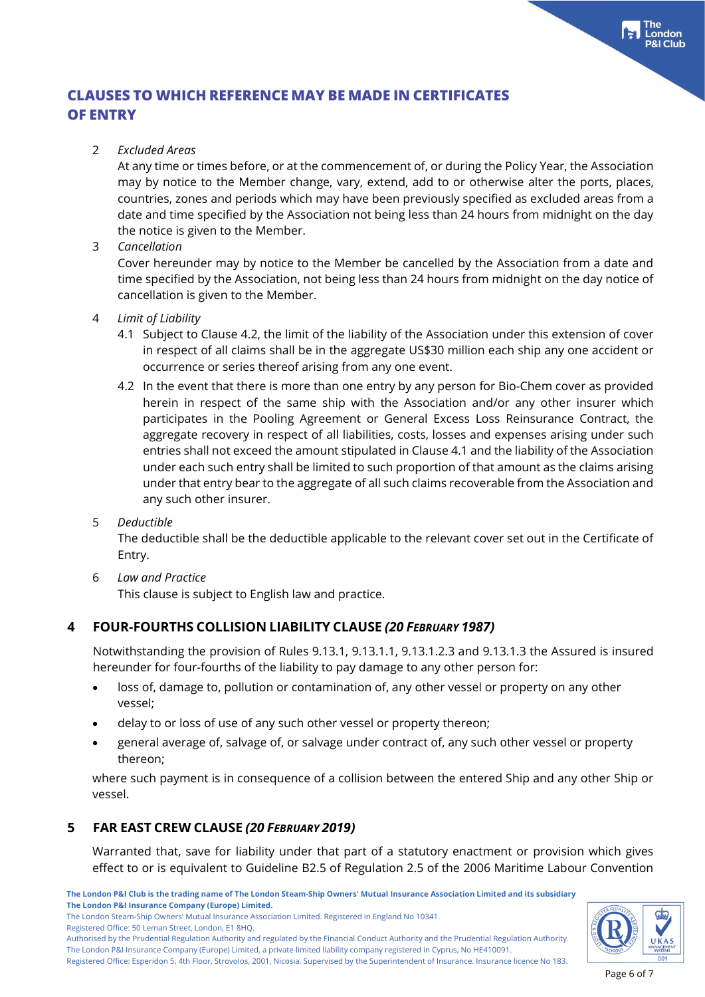#### 2 *Excluded Areas*

At any time or times before, or at the commencement of, or during the Policy Year, the Association may by notice to the Member change, vary, extend, add to or otherwise alter the ports, places, countries, zones and periods which may have been previously specified as excluded areas from a date and time specified by the Association not being less than 24 hours from midnight on the day the notice is given to the Member.

#### 3 *Cancellation*

Cover hereunder may by notice to the Member be cancelled by the Association from a date and time specified by the Association, not being less than 24 hours from midnight on the day notice of cancellation is given to the Member.

#### 4 *Limit of Liability*

- 4.1 Subject to Clause 4.2, the limit of the liability of the Association under this extension of cover in respect of all claims shall be in the aggregate US\$30 million each ship any one accident or occurrence or series thereof arising from any one event.
- 4.2 In the event that there is more than one entry by any person for Bio-Chem cover as provided herein in respect of the same ship with the Association and/or any other insurer which participates in the Pooling Agreement or General Excess Loss Reinsurance Contract, the aggregate recovery in respect of all liabilities, costs, losses and expenses arising under such entries shall not exceed the amount stipulated in Clause 4.1 and the liability of the Association under each such entry shall be limited to such proportion of that amount as the claims arising under that entry bear to the aggregate of all such claims recoverable from the Association and any such other insurer.

#### 5 *Deductible*

The deductible shall be the deductible applicable to the relevant cover set out in the Certificate of Entry.

6 *Law and Practice*

This clause is subject to English law and practice.

## **4 FOUR-FOURTHS COLLISION LIABILITY CLAUSE** *(20 FEBRUARY 1987)*

Notwithstanding the provision of Rules 9.13.1, 9.13.1.1, 9.13.1.2.3 and 9.13.1.3 the Assured is insured hereunder for four-fourths of the liability to pay damage to any other person for:

- loss of, damage to, pollution or contamination of, any other vessel or property on any other vessel;
- delay to or loss of use of any such other vessel or property thereon;
- general average of, salvage of, or salvage under contract of, any such other vessel or property thereon;

where such payment is in consequence of a collision between the entered Ship and any other Ship or vessel.

## **5 FAR EAST CREW CLAUSE** *(20 FEBRUARY 2019)*

Warranted that, save for liability under that part of a statutory enactment or provision which gives effect to or is equivalent to Guideline B2.5 of Regulation 2.5 of the 2006 Maritime Labour Convention

**The London P&I Club is the trading name of The London Steam-Ship Owners' Mutual Insurance Association Limited and its subsidiary The London P&I Insurance Company (Europe) Limited.** The London Steam-Ship Owners' Mutual Insurance Association Limited. Registered in England No 10341.

Registered Office: 50 Leman Street, London, E1 8HQ.

Authorised by the Prudential Regulation Authority and regulated by the Financial Conduct Authority and the Prudential Regulation Authority. The London P&I Insurance Company (Europe) Limited, a private limited liability company registered in Cyprus, No HE410091.